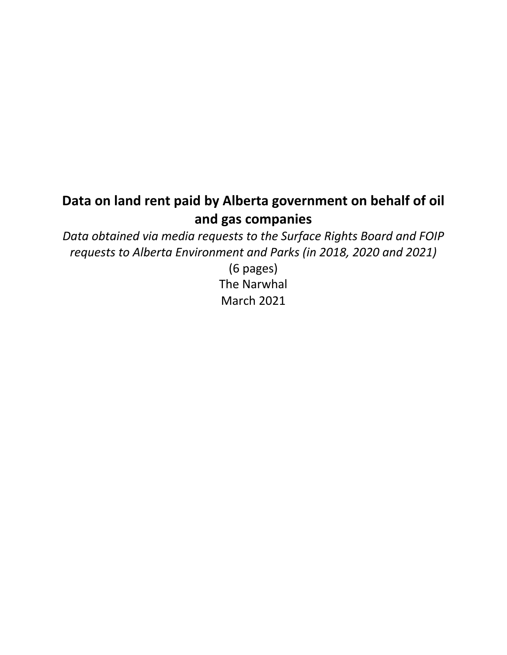# **Data on land rent paid by Alberta government on behalf of oil and gas companies**

*Data obtained via media requests to the Surface Rights Board and FOIP requests to Alberta Environment and Parks (in 2018, 2020 and 2021)*

> (6 pages) The Narwhal March 2021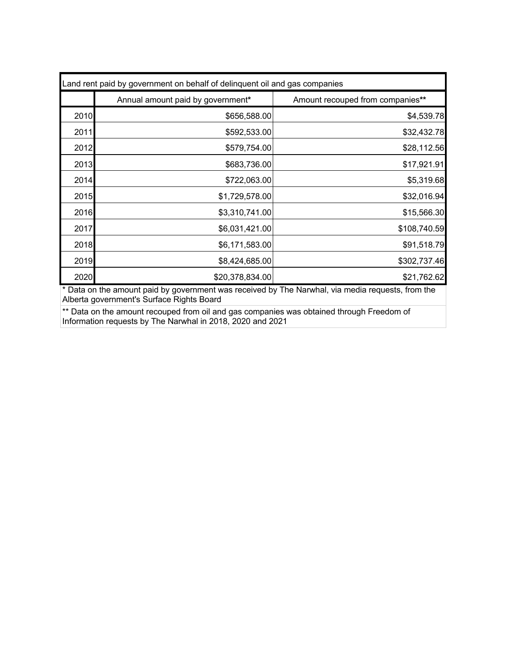| Land rent paid by government on behalf of delinquent oil and gas companies |                                   |                                  |  |
|----------------------------------------------------------------------------|-----------------------------------|----------------------------------|--|
|                                                                            | Annual amount paid by government* | Amount recouped from companies** |  |
| 2010                                                                       | \$656,588.00                      | \$4,539.78                       |  |
| 2011                                                                       | \$592,533.00                      | \$32,432.78                      |  |
| 2012                                                                       | \$579,754.00                      | \$28,112.56                      |  |
| 2013                                                                       | \$683,736.00                      | \$17,921.91                      |  |
| 2014                                                                       | \$722,063.00                      | \$5,319.68                       |  |
| 2015                                                                       | \$1,729,578.00                    | \$32,016.94                      |  |
| 2016                                                                       | \$3,310,741.00                    | \$15,566.30                      |  |
| 2017                                                                       | \$6,031,421.00                    | \$108,740.59                     |  |
| 2018                                                                       | \$6,171,583.00                    | \$91,518.79                      |  |
| 2019                                                                       | \$8,424,685.00                    | \$302,737.46                     |  |
| 2020                                                                       | \$20,378,834.00                   | \$21,762.62                      |  |

\* Data on the amount paid by government was received by The Narwhal, via media requests, from the Alberta government's Surface Rights Board

\*\* Data on the amount recouped from oil and gas companies was obtained through Freedom of Information requests by The Narwhal in 2018, 2020 and 2021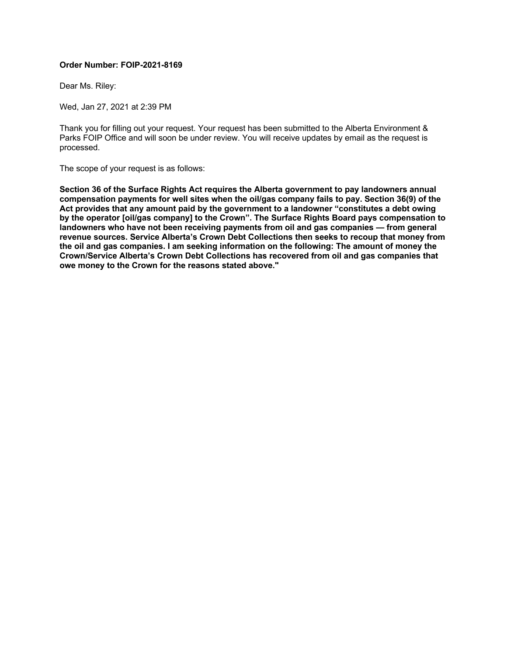#### **Order Number: FOIP-2021-8169**

Dear Ms. Riley:

Wed, Jan 27, 2021 at 2:39 PM

Thank you for filling out your request. Your request has been submitted to the Alberta Environment & Parks FOIP Office and will soon be under review. You will receive updates by email as the request is processed.

The scope of your request is as follows:

**Section 36 of the Surface Rights Act requires the Alberta government to pay landowners annual compensation payments for well sites when the oil/gas company fails to pay. Section 36(9) of the Act provides that any amount paid by the government to a landowner "constitutes a debt owing by the operator [oil/gas company] to the Crown". The Surface Rights Board pays compensation to landowners who have not been receiving payments from oil and gas companies — from general revenue sources. Service Alberta's Crown Debt Collections then seeks to recoup that money from the oil and gas companies. I am seeking information on the following: The amount of money the Crown/Service Alberta's Crown Debt Collections has recovered from oil and gas companies that owe money to the Crown for the reasons stated above."**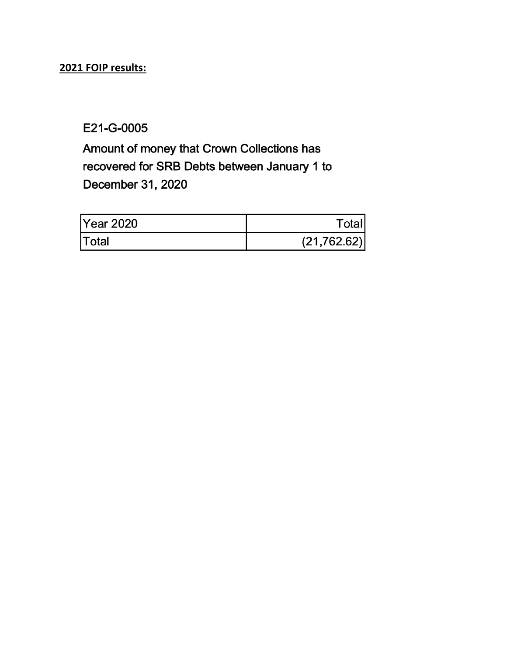## **2021 FOIP results:**

E21-G-0005

Amount of money that Crown Collections has recovered for SRB Debts between January 1 to December 31, 2020

| Year 2020    | Totalı       |
|--------------|--------------|
| <b>Total</b> | (21, 762.62) |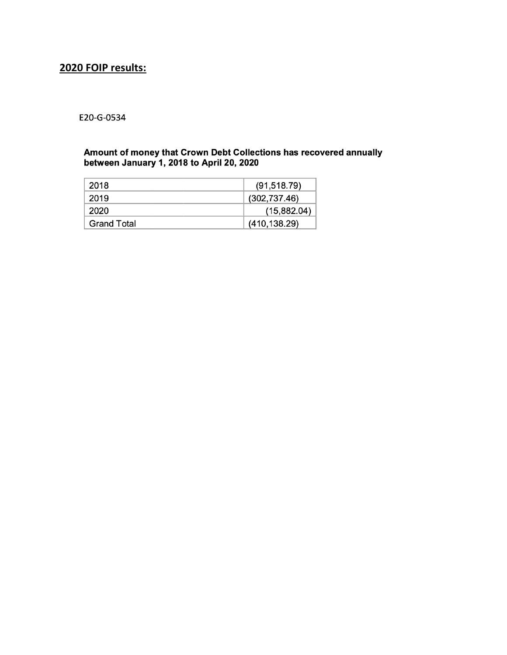### **2020 FOIP results:**

#### E20-G-0534

# Amount of money that Crown Debt Collections has recovered annually<br>between January 1, 2018 to April 20, 2020

| 2018               | (91, 518.79)  |
|--------------------|---------------|
| 2019               | (302, 737.46) |
| 2020               | (15,882.04)   |
| <b>Grand Total</b> | (410, 138.29) |